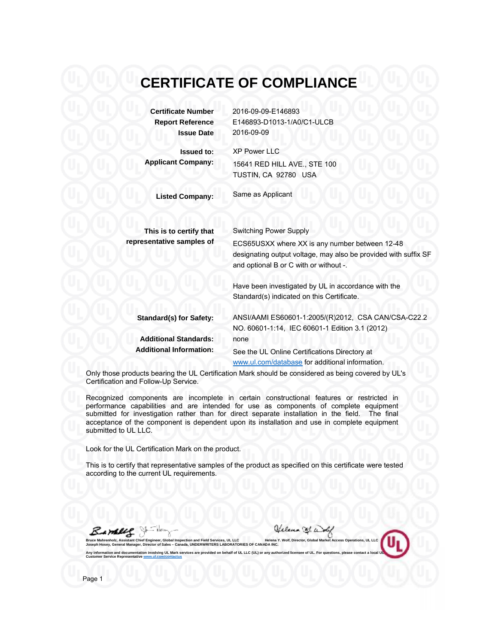# **CERTIFICATE OF COMPLIANCE**

**Certificate Number Report Re eference Iss sue Date**

**A Applicant Co ompany: Iss sued to:** 2016-09-0 09-E146893 E146893-D1013-1/A0/C1-ULCB 2016-09-0 09

XP Power LLC 15641 RE D HILL AVE ., STE 100 TUSTIN, CA 92780 USA

**Listed Co ompany:**

Same as A Applicant

Switching Power Supply

**T This is to cer rtify that repres entative sam mples of**

ECS65USXX where XX is any number between 12-48 designating output voltage, may also be provided with suffix SF and optional B or C with or without -.

Have been investigated by UL in accordance with the Standard(s) indicated on this Certificate.

www.ul.com/database for additional information.

**Sta andard(s) for r Safety: Ad dditional Sta andards: Add ditional Infor rmation:** ANSI/AAMI ES60601-1:2005/(R)2012, CSA CAN/CSA-C22.2 NO. 60601-1:14, IEC 60601-1 Edition 3.1 (2012) none See the UL Online Certifications Directory at

Only those products bearing the UL Certification Mark should be considered as being covered by UL's Certification and Follow-Up Service.

Recognized components are incomplete in certain constructional features or restricted in performance capabilities and are intended for use as components of complete equipment submitted for investigation rather than for direct separate installation in the field. The final acceptance of the component is dependent upon its installation and use in complete equipment submitted to UL LLC.

Look for the UL Certification Mark on the product.

**ngineer, Global Inspect ector of Sales – Canada involving UL Mark serv ww.ul.com/contactus**

**tion and Field Services, a, UNDERWRITERS LAB vices are provided on be**

This is to certify that representative samples of the product as specified on this certificate were tested according to the current UL requirements.

> **UL LLC BORATORIES OF CANA ehalf of UL LLC (UL) or**

J **nholz, Assistant Chief E**

**y, General Manager, Dire on and documentation rvice Representative ww**

Jelena B.a

**or, Global Market Acces e of UL. For questions,** 

**ss Operations, UL LLC please contact a local U**

**UL**

**Helena Y. Wolf, Directo ADA INC. any authorized licensee**

Page 1

**Bruce Mahren Joseph Hosey Any informatio Customer Ser**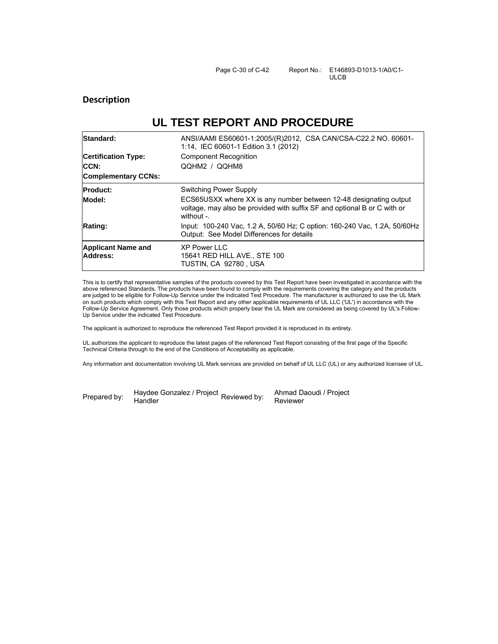## **Description**

# **UL TEST REPORT AND PROCEDURE**

| Standard:                             | ANSI/AAMI ES60601-1:2005/(R)2012, CSA CAN/CSA-C22.2 NO. 60601-<br>1:14, IEC 60601-1 Edition 3.1 (2012)                                                       |  |  |  |
|---------------------------------------|--------------------------------------------------------------------------------------------------------------------------------------------------------------|--|--|--|
| <b>Certification Type:</b>            | <b>Component Recognition</b>                                                                                                                                 |  |  |  |
| <b>ICCN:</b>                          | QQHM2 / QQHM8                                                                                                                                                |  |  |  |
| <b>Complementary CCNs:</b>            |                                                                                                                                                              |  |  |  |
| <b>Product:</b>                       | Switching Power Supply                                                                                                                                       |  |  |  |
| Model:                                | ECS65USXX where XX is any number between 12-48 designating output<br>voltage, may also be provided with suffix SF and optional B or C with or<br>without $-$ |  |  |  |
| Rating:                               | Input: 100-240 Vac, 1.2 A, 50/60 Hz; C option: 160-240 Vac, 1.2A, 50/60Hz<br>Output: See Model Differences for details                                       |  |  |  |
| <b>Applicant Name and</b><br>Address: | <b>XP Power LLC</b><br>15641 RED HILL AVE., STE 100<br>TUSTIN, CA 92780, USA                                                                                 |  |  |  |

This is to certify that representative samples of the products covered by this Test Report have been investigated in accordance with the above referenced Standards. The products have been found to comply with the requirements covering the category and the products are judged to be eligible for Follow-Up Service under the indicated Test Procedure. The manufacturer is authorized to use the UL Mark on such products which comply with this Test Report and any other applicable requirements of UL LLC ('UL') in accordance with the Follow-Up Service Agreement. Only those products which properly bear the UL Mark are considered as being covered by UL's Follow-Up Service under the indicated Test Procedure.

The applicant is authorized to reproduce the referenced Test Report provided it is reproduced in its entirety.

UL authorizes the applicant to reproduce the latest pages of the referenced Test Report consisting of the first page of the Specific Technical Criteria through to the end of the Conditions of Acceptability as applicable.

Any information and documentation involving UL Mark services are provided on behalf of UL LLC (UL) or any authorized licensee of UL.

Prepared by:

Haydee Gonzalez / Project Reviewed by:<br>Uradler **Handler** 

Ahmad Daoudi / Project Reviewer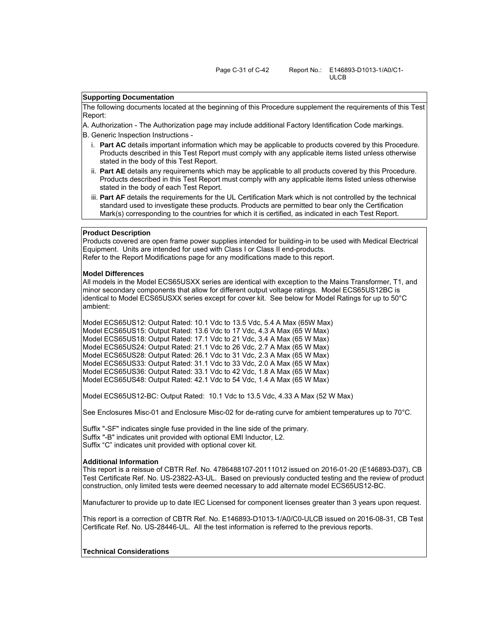### **Supporting Documentation**

The following documents located at the beginning of this Procedure supplement the requirements of this Test Report:

A. Authorization - The Authorization page may include additional Factory Identification Code markings. B. Generic Inspection Instructions -

- i. **Part AC** details important information which may be applicable to products covered by this Procedure. Products described in this Test Report must comply with any applicable items listed unless otherwise stated in the body of this Test Report.
- ii. **Part AE** details any requirements which may be applicable to all products covered by this Procedure. Products described in this Test Report must comply with any applicable items listed unless otherwise stated in the body of each Test Report.
- iii. **Part AF** details the requirements for the UL Certification Mark which is not controlled by the technical standard used to investigate these products. Products are permitted to bear only the Certification Mark(s) corresponding to the countries for which it is certified, as indicated in each Test Report.

#### **Product Description**

Products covered are open frame power supplies intended for building-in to be used with Medical Electrical Equipment. Units are intended for used with Class I or Class II end-products. Refer to the Report Modifications page for any modifications made to this report.

#### **Model Differences**

All models in the Model ECS65USXX series are identical with exception to the Mains Transformer, T1, and minor secondary components that allow for different output voltage ratings. Model ECS65US12BC is identical to Model ECS65USXX series except for cover kit. See below for Model Ratings for up to 50°C ambient:

Model ECS65US12: Output Rated: 10.1 Vdc to 13.5 Vdc, 5.4 A Max (65W Max) Model ECS65US15: Output Rated: 13.6 Vdc to 17 Vdc, 4.3 A Max (65 W Max) Model ECS65US18: Output Rated: 17.1 Vdc to 21 Vdc, 3.4 A Max (65 W Max) Model ECS65US24: Output Rated: 21.1 Vdc to 26 Vdc, 2.7 A Max (65 W Max) Model ECS65US28: Output Rated: 26.1 Vdc to 31 Vdc, 2.3 A Max (65 W Max) Model ECS65US33: Output Rated: 31.1 Vdc to 33 Vdc, 2.0 A Max (65 W Max) Model ECS65US36: Output Rated: 33.1 Vdc to 42 Vdc, 1.8 A Max (65 W Max) Model ECS65US48: Output Rated: 42.1 Vdc to 54 Vdc, 1.4 A Max (65 W Max)

Model ECS65US12-BC: Output Rated: 10.1 Vdc to 13.5 Vdc, 4.33 A Max (52 W Max)

See Enclosures Misc-01 and Enclosure Misc-02 for de-rating curve for ambient temperatures up to 70°C.

Suffix "-SF" indicates single fuse provided in the line side of the primary. Suffix "-B" indicates unit provided with optional EMI Inductor, L2. Suffix "C" indicates unit provided with optional cover kit.

#### **Additional Information**

This report is a reissue of CBTR Ref. No. 4786488107-20111012 issued on 2016-01-20 (E146893-D37), CB Test Certificate Ref. No. US-23822-A3-UL. Based on previously conducted testing and the review of product construction, only limited tests were deemed necessary to add alternate model ECS65US12-BC.

Manufacturer to provide up to date IEC Licensed for component licenses greater than 3 years upon request.

This report is a correction of CBTR Ref. No. E146893-D1013-1/A0/C0-ULCB issued on 2016-08-31, CB Test Certificate Ref. No. US-28446-UL. All the test information is referred to the previous reports.

#### **Technical Considerations**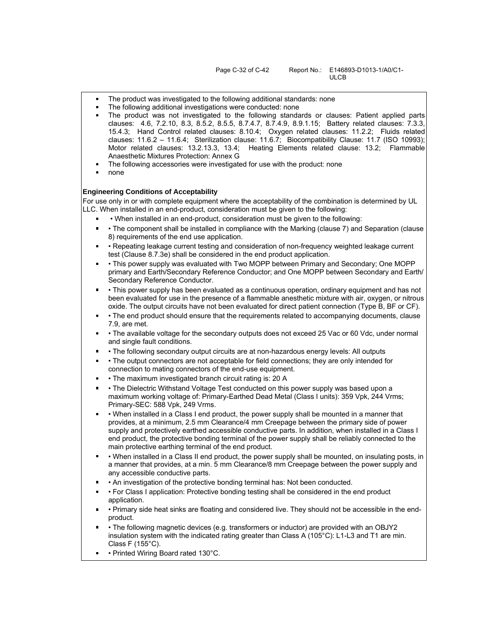- The product was investigated to the following additional standards: none
- The following additional investigations were conducted: none
- The product was not investigated to the following standards or clauses: Patient applied parts clauses: 4.6, 7.2.10, 8.3, 8.5.2, 8.5.5, 8.7.4.7, 8.7.4.9, 8.9.1.15; Battery related clauses: 7.3.3, 15.4.3; Hand Control related clauses: 8.10.4; Oxygen related clauses: 11.2.2; Fluids related clauses: 11.6.2 - 11.6.4; Sterilization clause: 11.6.7; Biocompatibility Clause: 11.7 (ISO 10993); Motor related clauses: 13.2.13.3, 13.4; Heating Elements related clause: 13.2; Flammable Anaesthetic Mixtures Protection: Annex G
- The following accessories were investigated for use with the product: none
- none

#### **Engineering Conditions of Acceptability**

For use only in or with complete equipment where the acceptability of the combination is determined by UL LLC. When installed in an end-product, consideration must be given to the following:

- When installed in an end-product, consideration must be given to the following:
- The component shall be installed in compliance with the Marking (clause 7) and Separation (clause 8) requirements of the end use application.
- Repeating leakage current testing and consideration of non-frequency weighted leakage current test (Clause 8.7.3e) shall be considered in the end product application.
- This power supply was evaluated with Two MOPP between Primary and Secondary; One MOPP primary and Earth/Secondary Reference Conductor; and One MOPP between Secondary and Earth/ Secondary Reference Conductor.
- This power supply has been evaluated as a continuous operation, ordinary equipment and has not been evaluated for use in the presence of a flammable anesthetic mixture with air, oxygen, or nitrous oxide. The output circuits have not been evaluated for direct patient connection (Type B, BF or CF).
- The end product should ensure that the requirements related to accompanying documents, clause 7.9, are met.
- The available voltage for the secondary outputs does not exceed 25 Vac or 60 Vdc, under normal and single fault conditions.
- The following secondary output circuits are at non-hazardous energy levels: All outputs
- The output connectors are not acceptable for field connections; they are only intended for connection to mating connectors of the end-use equipment.
- The maximum investigated branch circuit rating is: 20 A
- The Dielectric Withstand Voltage Test conducted on this power supply was based upon a maximum working voltage of: Primary-Earthed Dead Metal (Class I units): 359 Vpk, 244 Vrms; Primary-SEC: 588 Vpk, 249 Vrms.
- When installed in a Class I end product, the power supply shall be mounted in a manner that provides, at a minimum, 2.5 mm Clearance/4 mm Creepage between the primary side of power supply and protectively earthed accessible conductive parts. In addition, when installed in a Class I end product, the protective bonding terminal of the power supply shall be reliably connected to the main protective earthing terminal of the end product.
- When installed in a Class II end product, the power supply shall be mounted, on insulating posts, in a manner that provides, at a min. 5 mm Clearance/8 mm Creepage between the power supply and any accessible conductive parts.
- An investigation of the protective bonding terminal has: Not been conducted.
- For Class I application: Protective bonding testing shall be considered in the end product application.
- Primary side heat sinks are floating and considered live. They should not be accessible in the endproduct.
- The following magnetic devices (e.g. transformers or inductor) are provided with an OBJY2 insulation system with the indicated rating greater than Class A (105°C): L1-L3 and T1 are min. Class F (155°C).
- Printed Wiring Board rated 130°C.  $\blacksquare$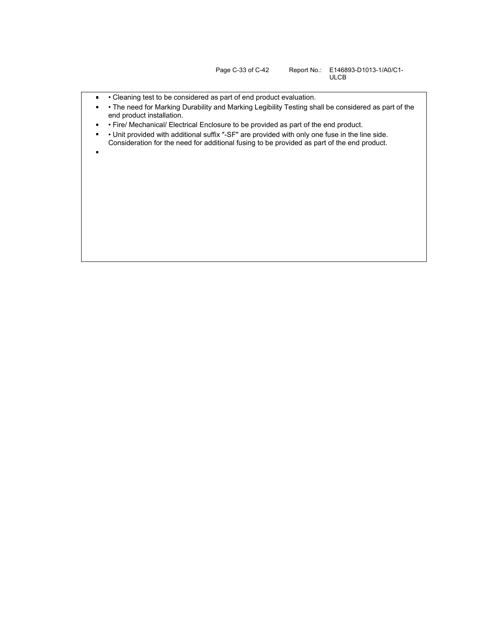ULCB

- Cleaning test to be considered as part of end product evaluation.  $\blacksquare$
- The need for Marking Durability and Marking Legibility Testing shall be considered as part of the  $\blacksquare$ end product installation.
- Fire/ Mechanical/ Electrical Enclosure to be provided as part of the end product.  $\blacksquare$
- $\blacksquare$  Unit provided with additional suffix "-SF" are provided with only one fuse in the line side. Consideration for the need for additional fusing to be provided as part of the end product.
-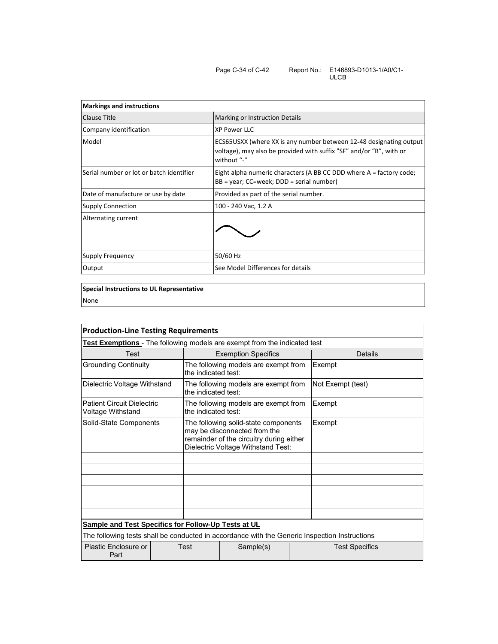| <b>Markings and instructions</b>         |                                                                                                                                                          |  |  |  |
|------------------------------------------|----------------------------------------------------------------------------------------------------------------------------------------------------------|--|--|--|
| Clause Title                             | <b>Marking or Instruction Details</b>                                                                                                                    |  |  |  |
| Company identification                   | <b>XP Power LLC</b>                                                                                                                                      |  |  |  |
| Model                                    | ECS65USXX (where XX is any number between 12-48 designating output<br>voltage), may also be provided with suffix "SF" and/or "B", with or<br>without "-" |  |  |  |
| Serial number or lot or batch identifier | Eight alpha numeric characters (A BB CC DDD where A = factory code;<br>$BB = year$ ; CC=week; DDD = serial number)                                       |  |  |  |
| Date of manufacture or use by date       | Provided as part of the serial number.                                                                                                                   |  |  |  |
| <b>Supply Connection</b>                 | 100 - 240 Vac, 1.2 A                                                                                                                                     |  |  |  |
| Alternating current                      |                                                                                                                                                          |  |  |  |
| Supply Frequency                         | 50/60 Hz                                                                                                                                                 |  |  |  |
| Output                                   | See Model Differences for details                                                                                                                        |  |  |  |

**Special Instructions to UL Representative** None

| <b>Production-Line Testing Requirements</b>                                                   |                     |                                                                                                                                                        |                       |                   |  |  |  |
|-----------------------------------------------------------------------------------------------|---------------------|--------------------------------------------------------------------------------------------------------------------------------------------------------|-----------------------|-------------------|--|--|--|
| <b>Test Exemptions</b> - The following models are exempt from the indicated test              |                     |                                                                                                                                                        |                       |                   |  |  |  |
| <b>Test</b>                                                                                   |                     | <b>Exemption Specifics</b>                                                                                                                             |                       | Details           |  |  |  |
| <b>Grounding Continuity</b>                                                                   |                     | The following models are exempt from<br>the indicated test:                                                                                            |                       | Exempt            |  |  |  |
| Dielectric Voltage Withstand                                                                  |                     | The following models are exempt from<br>the indicated test:                                                                                            |                       | Not Exempt (test) |  |  |  |
| <b>Patient Circuit Dielectric</b><br>Voltage Withstand                                        | the indicated test: | The following models are exempt from                                                                                                                   |                       | Exempt            |  |  |  |
| Solid-State Components                                                                        |                     | The following solid-state components<br>may be disconnected from the<br>remainder of the circuitry during either<br>Dielectric Voltage Withstand Test: | Exempt                |                   |  |  |  |
|                                                                                               |                     |                                                                                                                                                        |                       |                   |  |  |  |
|                                                                                               |                     |                                                                                                                                                        |                       |                   |  |  |  |
|                                                                                               |                     |                                                                                                                                                        |                       |                   |  |  |  |
|                                                                                               |                     |                                                                                                                                                        |                       |                   |  |  |  |
|                                                                                               |                     |                                                                                                                                                        |                       |                   |  |  |  |
|                                                                                               |                     |                                                                                                                                                        |                       |                   |  |  |  |
| <b>Sample and Test Specifics for Follow-Up Tests at UL</b>                                    |                     |                                                                                                                                                        |                       |                   |  |  |  |
| The following tests shall be conducted in accordance with the Generic Inspection Instructions |                     |                                                                                                                                                        |                       |                   |  |  |  |
| Plastic Enclosure or<br>Part                                                                  | Test                | Sample(s)                                                                                                                                              | <b>Test Specifics</b> |                   |  |  |  |